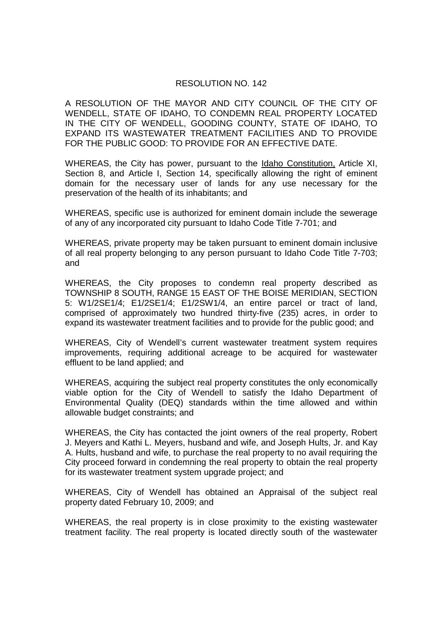## RESOLUTION NO. 142

A RESOLUTION OF THE MAYOR AND CITY COUNCIL OF THE CITY OF WENDELL, STATE OF IDAHO, TO CONDEMN REAL PROPERTY LOCATED IN THE CITY OF WENDELL, GOODING COUNTY, STATE OF IDAHO, TO EXPAND ITS WASTEWATER TREATMENT FACILITIES AND TO PROVIDE FOR THE PUBLIC GOOD: TO PROVIDE FOR AN EFFECTIVE DATE.

WHEREAS, the City has power, pursuant to the Idaho Constitution, Article XI, Section 8, and Article I, Section 14, specifically allowing the right of eminent domain for the necessary user of lands for any use necessary for the preservation of the health of its inhabitants; and

WHEREAS, specific use is authorized for eminent domain include the sewerage of any of any incorporated city pursuant to Idaho Code Title 7-701; and

WHEREAS, private property may be taken pursuant to eminent domain inclusive of all real property belonging to any person pursuant to Idaho Code Title 7-703; and

WHEREAS, the City proposes to condemn real property described as TOWNSHIP 8 SOUTH, RANGE 15 EAST OF THE BOISE MERIDIAN, SECTION 5: W1/2SE1/4; E1/2SE1/4; E1/2SW1/4, an entire parcel or tract of land, comprised of approximately two hundred thirty-five (235) acres, in order to expand its wastewater treatment facilities and to provide for the public good; and

WHEREAS, City of Wendell's current wastewater treatment system requires improvements, requiring additional acreage to be acquired for wastewater effluent to be land applied; and

WHEREAS, acquiring the subject real property constitutes the only economically viable option for the City of Wendell to satisfy the Idaho Department of Environmental Quality (DEQ) standards within the time allowed and within allowable budget constraints; and

WHEREAS, the City has contacted the joint owners of the real property, Robert J. Meyers and Kathi L. Meyers, husband and wife, and Joseph Hults, Jr. and Kay A. Hults, husband and wife, to purchase the real property to no avail requiring the City proceed forward in condemning the real property to obtain the real property for its wastewater treatment system upgrade project; and

WHEREAS, City of Wendell has obtained an Appraisal of the subject real property dated February 10, 2009; and

WHEREAS, the real property is in close proximity to the existing wastewater treatment facility. The real property is located directly south of the wastewater